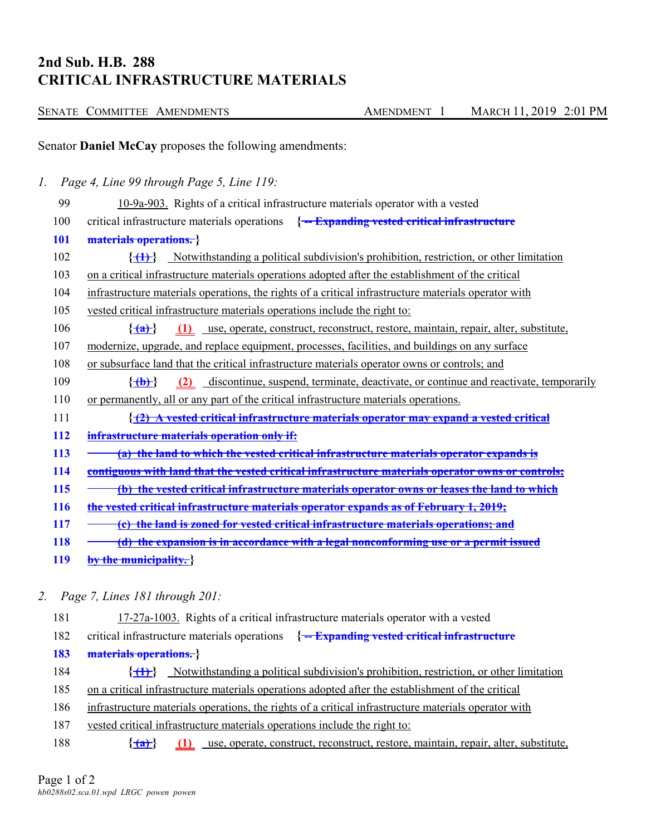## **2nd Sub. H.B. 288 CRITICAL INFRASTRUCTURE MATERIALS**

| SENATE COMMITTEE AMENDMENTS | <b>AMENDMENT</b> | MARCH 11, 2019 2:01 PM |
|-----------------------------|------------------|------------------------|
|-----------------------------|------------------|------------------------|

Senator **Daniel McCay** proposes the following amendments:

*1. Page 4, Line 99 through Page 5, Line 119:*

- 99 10-9a-903. Rights of a critical infrastructure materials operator with a vested 100 critical infrastructure materials operations **{ -- Expanding vested critical infrastructure 101 materials operations. }** 102 **{ (1) }** Notwithstanding a political subdivision's prohibition, restriction, or other limitation 103 on a critical infrastructure materials operations adopted after the establishment of the critical 104 infrastructure materials operations, the rights of a critical infrastructure materials operator with 105 vested critical infrastructure materials operations include the right to: 106 **{ (a) } (1)** use, operate, construct, reconstruct, restore, maintain, repair, alter, substitute, 107 modernize, upgrade, and replace equipment, processes, facilities, and buildings on any surface 108 or subsurface land that the critical infrastructure materials operator owns or controls; and 109 **{ (b) } (2)** discontinue, suspend, terminate, deactivate, or continue and reactivate, temporarily 110 or permanently, all or any part of the critical infrastructure materials operations. 111 **{ (2) A vested critical infrastructure materials operator may expand a vested critical 112 infrastructure materials operation only if: 113 - (a) the land to which the vested critical infrastructure materials operator expands is 114 contiguous with land that the vested critical infrastructure materials operator owns or controls; 115 (b) the vested critical infrastructure materials operator owns or leases the land to which 116 the vested critical infrastructure materials operator expands as of February 1, 2019; 117 (c) the land is zoned for vested critical infrastructure materials operations; and 118 (d) the expansion is in accordance with a legal nonconforming use or a permit issued 119 by the municipality. }**
- *2. Page 7, Lines 181 through 201:*
	- 181 17-27a-1003. Rights of a critical infrastructure materials operator with a vested 182 critical infrastructure materials operations **{ -- Expanding vested critical infrastructure 183 materials operations. }** 184 **{ (1) }** Notwithstanding a political subdivision's prohibition, restriction, or other limitation 185 on a critical infrastructure materials operations adopted after the establishment of the critical 186 infrastructure materials operations, the rights of a critical infrastructure materials operator with 187 vested critical infrastructure materials operations include the right to:
	- 188 **{ (a) } (1)** use, operate, construct, reconstruct, restore, maintain, repair, alter, substitute,